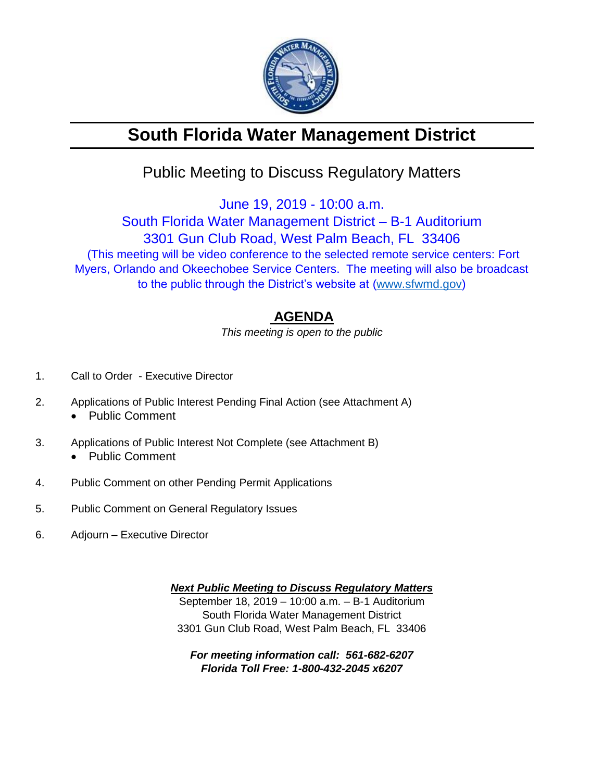

# **South Florida Water Management District**

## Public Meeting to Discuss Regulatory Matters

June 19, 2019 - 10:00 a.m.

### South Florida Water Management District – B-1 Auditorium 3301 Gun Club Road, West Palm Beach, FL 33406 (This meeting will be video conference to the selected remote service centers: Fort Myers, Orlando and Okeechobee Service Centers. The meeting will also be broadcast to the public through the District's website at [\(www.sfwmd.gov\)](http://www.sfwmd.gov/)

### **AGENDA**

*This meeting is open to the public*

- 1. Call to Order Executive Director
- 2. Applications of Public Interest Pending Final Action (see Attachment A)
	- Public Comment
- 3. Applications of Public Interest Not Complete (see Attachment B) • Public Comment
	-
- 4. Public Comment on other Pending Permit Applications
- 5. Public Comment on General Regulatory Issues
- 6. Adjourn Executive Director

*Next Public Meeting to Discuss Regulatory Matters* September 18, 2019 – 10:00 a.m. – B-1 Auditorium South Florida Water Management District 3301 Gun Club Road, West Palm Beach, FL 33406

*For meeting information call: 561-682-6207 Florida Toll Free: 1-800-432-2045 x6207*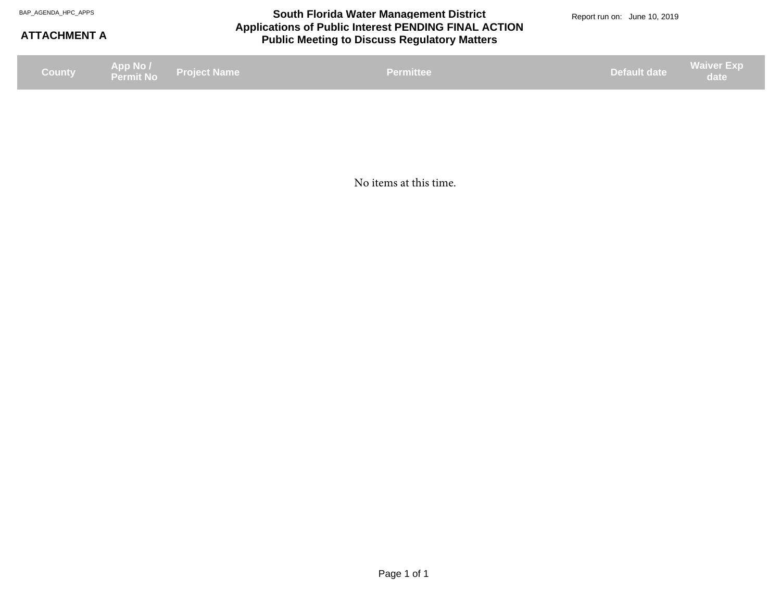#### **Applications of Public Interest PENDING FINAL ACTION Public Meeting to Discuss Regulatory Matters** BAP\_AGENDA\_HPC\_APPS **South Florida Water Management District** BAP\_AGENDA\_HPC\_APPS Report run on: June 10, 2019

#### **ATTACHMENT A**

**Project Name App No / Permit No County Default date Waiver Exp date Permittee date Permittee date Permittee date Permittee date date date date date date** 

No items at this time.